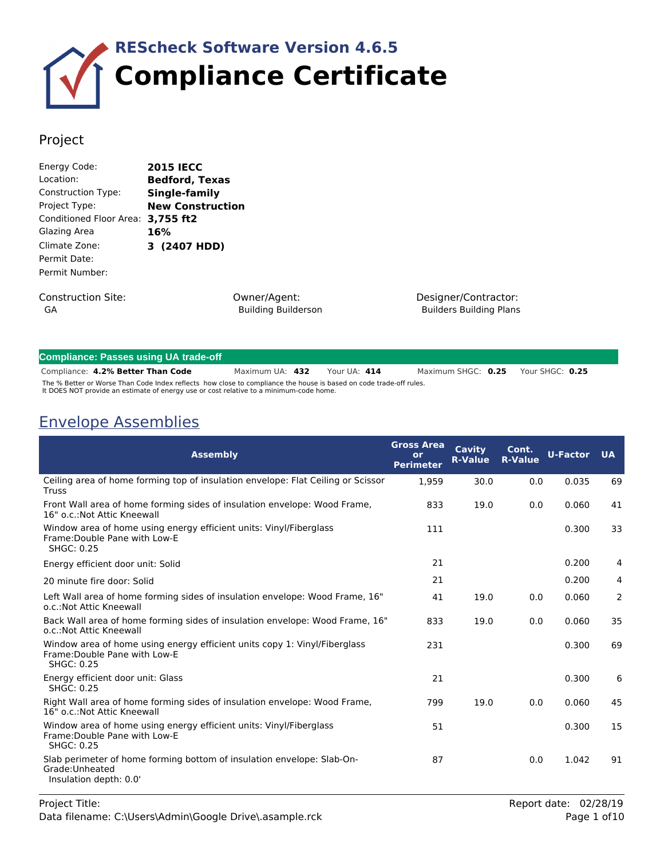

### Project

| Energy Code:            | <b>2015 IECC</b>        |
|-------------------------|-------------------------|
| Location:               | <b>Bedford, Texas</b>   |
| Construction Type:      | Single-family           |
| Project Type:           | <b>New Construction</b> |
| Conditioned Floor Area: | 3,755 ft2               |
| Glazing Area            | 16%                     |
| Climate Zone:           | 3 (2407 HDD)            |
| Permit Date:            |                         |
| Permit Number:          |                         |
|                         |                         |

Construction Site: GA

Owner/Agent: Building Builderson Designer/Contractor: Builders Building Plans

| <b>Compliance: Passes using UA trade-off</b>                                                                                                                                                                 |                 |  |              |  |                    |  |                 |
|--------------------------------------------------------------------------------------------------------------------------------------------------------------------------------------------------------------|-----------------|--|--------------|--|--------------------|--|-----------------|
| Compliance: 4.2% Better Than Code                                                                                                                                                                            | Maximum UA: 432 |  | Your UA: 414 |  | Maximum SHGC: 0.25 |  | Your SHGC: 0.25 |
| The % Better or Worse Than Code Index reflects how close to compliance the house is based on code trade-off rules.<br>It DOES NOT provide an estimate of energy use or cost relative to a minimum-code home. |                 |  |              |  |                    |  |                 |

## Envelope Assemblies

| <b>Assembly</b>                                                                                                          | <b>Gross Area</b><br>or<br><b>Perimeter</b> | Cavity<br><b>R-Value</b> | Cont.<br><b>R-Value</b> | <b>U-Factor</b> | <b>UA</b> |
|--------------------------------------------------------------------------------------------------------------------------|---------------------------------------------|--------------------------|-------------------------|-----------------|-----------|
| Ceiling area of home forming top of insulation envelope: Flat Ceiling or Scissor<br>Truss                                | 1,959                                       | 30.0                     | 0.0                     | 0.035           | 69        |
| Front Wall area of home forming sides of insulation envelope: Wood Frame,<br>16" o.c.: Not Attic Kneewall                | 833                                         | 19.0                     | 0.0                     | 0.060           | 41        |
| Window area of home using energy efficient units: Vinyl/Fiberglass<br>Frame: Double Pane with Low-E<br>SHGC: 0.25        | 111                                         |                          |                         | 0.300           | 33        |
| Energy efficient door unit: Solid                                                                                        | 21                                          |                          |                         | 0.200           | 4         |
| 20 minute fire door: Solid                                                                                               | 21                                          |                          |                         | 0.200           | 4         |
| Left Wall area of home forming sides of insulation envelope: Wood Frame, 16"<br>o.c.: Not Attic Kneewall                 | 41                                          | 19.0                     | 0.0                     | 0.060           | 2         |
| Back Wall area of home forming sides of insulation envelope: Wood Frame, 16"<br>o.c.: Not Attic Kneewall                 | 833                                         | 19.0                     | 0.0                     | 0.060           | 35        |
| Window area of home using energy efficient units copy 1: Vinyl/Fiberglass<br>Frame: Double Pane with Low-E<br>SHGC: 0.25 | 231                                         |                          |                         | 0.300           | 69        |
| Energy efficient door unit: Glass<br><b>SHGC: 0.25</b>                                                                   | 21                                          |                          |                         | 0.300           | 6         |
| Right Wall area of home forming sides of insulation envelope: Wood Frame,<br>16" o.c.: Not Attic Kneewall                | 799                                         | 19.0                     | 0.0                     | 0.060           | 45        |
| Window area of home using energy efficient units: Vinyl/Fiberglass<br>Frame: Double Pane with Low-E<br>SHGC: 0.25        | 51                                          |                          |                         | 0.300           | 15        |
| Slab perimeter of home forming bottom of insulation envelope: Slab-On-<br>Grade:Unheated<br>Insulation depth: 0.0'       | 87                                          |                          | 0.0                     | 1.042           | 91        |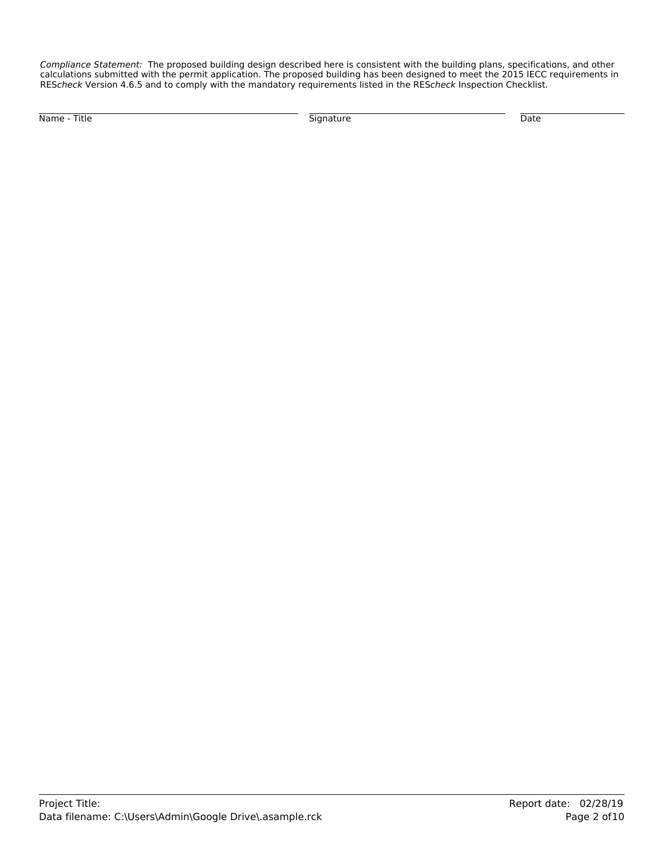*Compliance Statement:* The proposed building design described here is consistent with the building plans, specifications, and other calculations submitted with the permit application. The proposed building has been designed to meet the 2015 IECC requirements in RES*check* Version 4.6.5 and to comply with the mandatory requirements listed in the RES*check* Inspection Checklist.

Name - Title Signature Date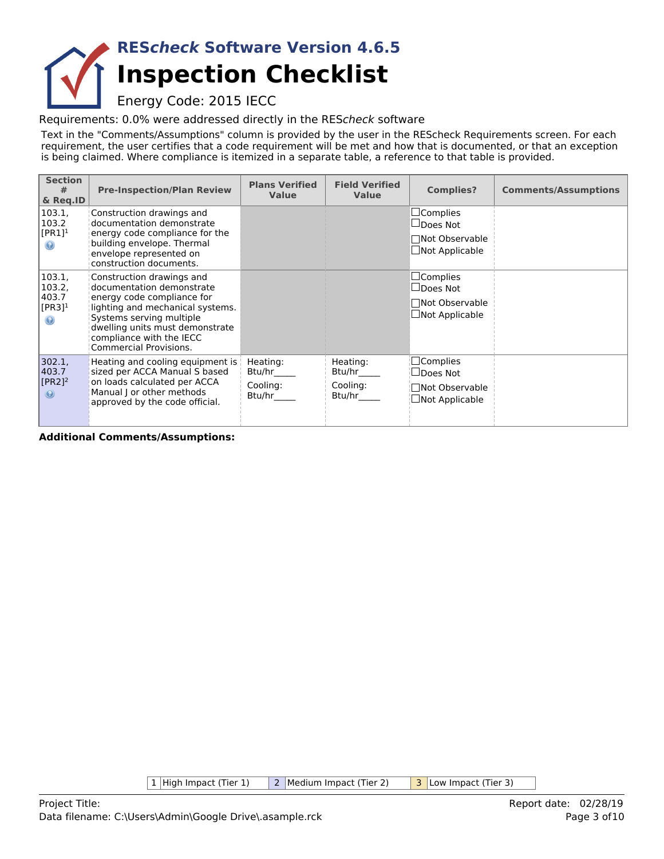# **Inspection Checklist RES***check* **Software Version 4.6.5**

Energy Code: 2015 IECC

Requirements: 0.0% were addressed directly in the RES*check* software

Text in the "Comments/Assumptions" column is provided by the user in the REScheck Requirements screen. For each requirement, the user certifies that a code requirement will be met and how that is documented, or that an exception is being claimed. Where compliance is itemized in a separate table, a reference to that table is provided.

| <b>Section</b><br>#<br>& Req.ID                                    | <b>Pre-Inspection/Plan Review</b>                                                                                                                                                                                                                    | <b>Plans Verified</b><br><b>Value</b>    | <b>Field Verified</b><br><b>Value</b>    | <b>Complies?</b>                                                                   | <b>Comments/Assumptions</b> |
|--------------------------------------------------------------------|------------------------------------------------------------------------------------------------------------------------------------------------------------------------------------------------------------------------------------------------------|------------------------------------------|------------------------------------------|------------------------------------------------------------------------------------|-----------------------------|
| 103.1,<br>103.2<br>$[PR1]^1$<br>$\odot$                            | Construction drawings and<br>documentation demonstrate<br>energy code compliance for the<br>building envelope. Thermal<br>envelope represented on<br>construction documents.                                                                         |                                          |                                          | $\Box$ Complies<br>$\Box$ Does Not<br>□Not Observable<br>$\Box$ Not Applicable     |                             |
| 103.1,<br>103.2,<br>403.7<br>$[PR3]$ <sup>1</sup><br>$\circledast$ | Construction drawings and<br>documentation demonstrate<br>energy code compliance for<br>lighting and mechanical systems.<br>Systems serving multiple<br>dwelling units must demonstrate<br>compliance with the IECC<br><b>Commercial Provisions.</b> |                                          |                                          | $\sqcup$ Complies<br>$\Box$ Does Not<br>□Not Observable<br>$\Box$ Not Applicable   |                             |
| 302.1,<br>403.7<br>$[PR2]$ <sup>2</sup><br>$\circledast$           | Heating and cooling equipment is  <br>sized per ACCA Manual S based<br>on loads calculated per ACCA<br>Manual J or other methods<br>approved by the code official.                                                                                   | Heating:<br>Btu/hr<br>Cooling:<br>Btu/hr | Heating:<br>Btu/hr<br>Cooling:<br>Btu/hr | $\square$ Complies<br>$\sqcup$ Does Not<br>Not Observable<br>$\Box$ Not Applicable |                             |

**Additional Comments/Assumptions:**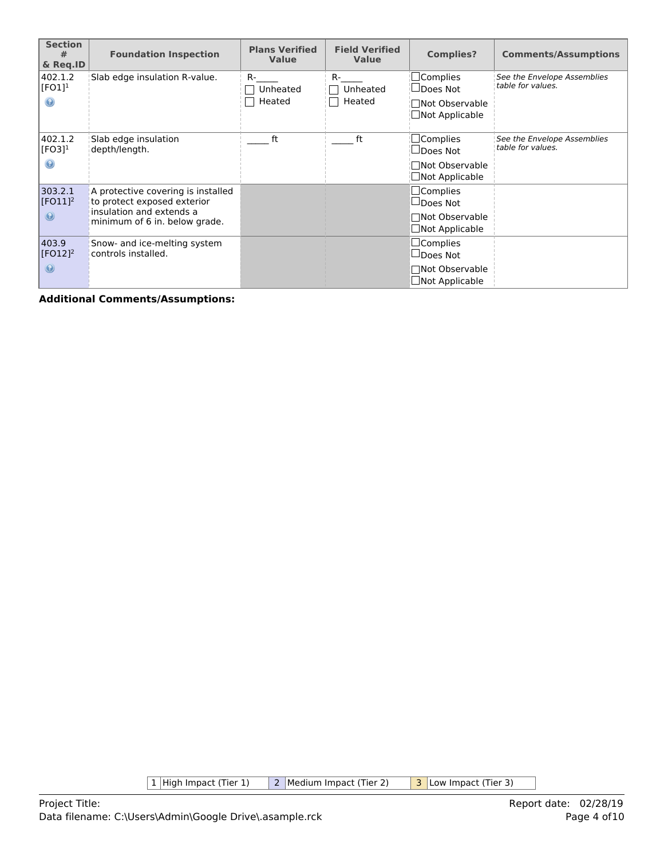| <b>Section</b><br>#<br>& Reg.ID | <b>Foundation Inspection</b>                                      | <b>Plans Verified</b><br><b>Value</b> | <b>Field Verified</b><br><b>Value</b> | <b>Complies?</b>                                  | <b>Comments/Assumptions</b>                      |
|---------------------------------|-------------------------------------------------------------------|---------------------------------------|---------------------------------------|---------------------------------------------------|--------------------------------------------------|
| 402.1.2<br>$[FO1]$ <sup>1</sup> | Slab edge insulation R-value.                                     | R-<br>Unheated<br>Heated              | $R -$<br>Unheated<br>Heated           | $\sqcup$ Complies<br>⊿Does Not<br>∏Not Observable | See the Envelope Assemblies<br>table for values. |
|                                 |                                                                   |                                       |                                       | Not Applicable                                    |                                                  |
| 402.1.2<br>$[FO3]$ <sup>1</sup> | Slab edge insulation<br>depth/length.                             | ft                                    | ft                                    | $\Box$ Complies<br>$\sqcup$ Does Not              | See the Envelope Assemblies<br>table for values. |
|                                 |                                                                   |                                       |                                       | □Not Observable<br>Not Applicable                 |                                                  |
| 303.2.1<br>$[FO11]^{2}$         | A protective covering is installed<br>to protect exposed exterior |                                       |                                       | $\Box$ Complies<br>$\Box$ Does Not                |                                                  |
| $\circledcirc$                  | insulation and extends a<br>minimum of 6 in. below grade.         |                                       |                                       | □Not Observable<br>$\Box$ Not Applicable          |                                                  |
| 403.9<br>$[FO12]$ <sup>2</sup>  | Snow- and ice-melting system<br>controls installed.               |                                       |                                       | $\Box$ Complies<br>$\Box$ Does Not                |                                                  |
| $\odot$                         |                                                                   |                                       |                                       | □Not Observable<br>$\Box$ Not Applicable          |                                                  |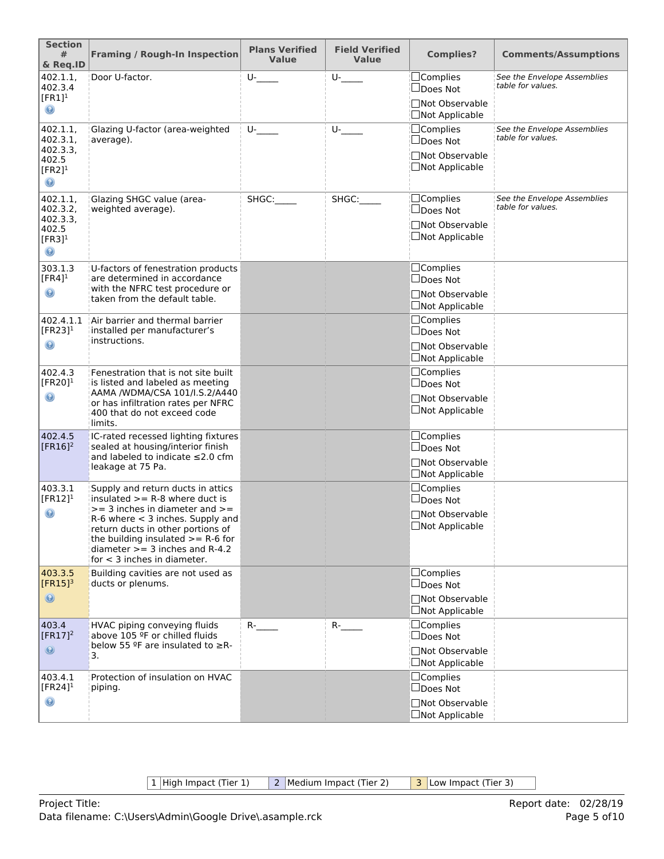| <b>Section</b><br>#<br>& Req.ID                                                     | <b>Framing / Rough-In Inspection</b>                                                                                                                                                                                                                                                                 | <b>Plans Verified</b><br><b>Value</b> | <b>Field Verified</b><br><b>Value</b> | <b>Complies?</b>                                                               | <b>Comments/Assumptions</b>                      |
|-------------------------------------------------------------------------------------|------------------------------------------------------------------------------------------------------------------------------------------------------------------------------------------------------------------------------------------------------------------------------------------------------|---------------------------------------|---------------------------------------|--------------------------------------------------------------------------------|--------------------------------------------------|
| 402.1.1,<br>402.3.4<br>$[FR1]$ <sup>1</sup><br>◉                                    | Door U-factor.                                                                                                                                                                                                                                                                                       | $U$ -                                 | $U$ -                                 | $\Box$ Complies<br>□Does Not<br>□Not Observable<br>□Not Applicable             | See the Envelope Assemblies<br>table for values. |
| 402.1.1,<br>402.3.1,<br>402.3.3,<br>402.5<br>$[FR2]$ <sup>1</sup><br>$\circledcirc$ | Glazing U-factor (area-weighted<br>average).                                                                                                                                                                                                                                                         | $U$ -                                 | U-                                    | $\Box$ Complies<br>□Does Not<br>□Not Observable<br>□Not Applicable             | See the Envelope Assemblies<br>table for values. |
| 402.1.1,<br>402.3.2,<br>402.3.3,<br>402.5<br>$[FR3]$ <sup>1</sup><br>$\odot$        | Glazing SHGC value (area-<br>weighted average).                                                                                                                                                                                                                                                      | SHGC:                                 | SHGC:                                 | $\Box$ Complies<br>□Does Not<br>□Not Observable<br>□Not Applicable             | See the Envelope Assemblies<br>table for values. |
| 303.1.3<br>$[FR4]$ <sup>1</sup><br>$\mathbf \Theta$                                 | U-factors of fenestration products<br>are determined in accordance<br>with the NFRC test procedure or<br>taken from the default table.                                                                                                                                                               |                                       |                                       | □Complies<br>$\Box$ Does Not<br>□Not Observable<br>$\Box$ Not Applicable       |                                                  |
| 402.4.1.1<br>[FR23] $1$<br>◉                                                        | Air barrier and thermal barrier<br>installed per manufacturer's<br>instructions.                                                                                                                                                                                                                     |                                       |                                       | $\Box$ Complies<br>$\Box$ Does Not<br>□Not Observable<br>$\Box$ Not Applicable |                                                  |
| 402.4.3<br>[FR20] $1$<br>◉                                                          | Fenestration that is not site built<br>is listed and labeled as meeting<br>AAMA /WDMA/CSA 101/I.S.2/A440<br>or has infiltration rates per NFRC<br>400 that do not exceed code<br>limits.                                                                                                             |                                       |                                       | $\Box$ Complies<br>$\Box$ Does Not<br>□Not Observable<br>$\Box$ Not Applicable |                                                  |
| 402.4.5<br>$[FR16]^2$                                                               | IC-rated recessed lighting fixtures<br>sealed at housing/interior finish<br>and labeled to indicate ≤2.0 cfm<br>leakage at 75 Pa.                                                                                                                                                                    |                                       |                                       | $\Box$ Complies<br>$\Box$ Does Not<br>□Not Observable<br>□Not Applicable       |                                                  |
| 403.3.1<br>$[FR12]$ <sup>1</sup><br>$\circledcirc$                                  | Supply and return ducts in attics<br>insulated $>=$ R-8 where duct is<br>$>=$ 3 inches in diameter and $>=$<br>$R-6$ where $<$ 3 inches. Supply and<br>return ducts in other portions of<br>the building insulated $>= R-6$ for<br>diameter $>=$ 3 inches and R-4.2<br>for $<$ 3 inches in diameter. |                                       |                                       | $\Box$ Complies<br>$\Box$ Does Not<br>□Not Observable<br>$\Box$ Not Applicable |                                                  |
| 403.3.5<br>$[FR15]$ <sup>3</sup><br>$\circledcirc$                                  | Building cavities are not used as<br>ducts or plenums.                                                                                                                                                                                                                                               |                                       |                                       | $\Box$ Complies<br>$\Box$ Does Not<br>□Not Observable<br>$\Box$ Not Applicable |                                                  |
| 403.4<br>$[FR17]^2$<br>$\circledcirc$                                               | HVAC piping conveying fluids<br>above 105 ºF or chilled fluids<br>below 55 $9$ F are insulated to $\geq$ R-<br>3.                                                                                                                                                                                    | $R$ -                                 | $R$ -                                 | $\Box$ Complies<br>$\Box$ Does Not<br>□Not Observable<br>□Not Applicable       |                                                  |
| 403.4.1<br>[FR24] $1$<br>◉                                                          | Protection of insulation on HVAC<br>piping.                                                                                                                                                                                                                                                          |                                       |                                       | $\Box$ Complies<br>$\Box$ Does Not<br>□Not Observable<br>$\Box$ Not Applicable |                                                  |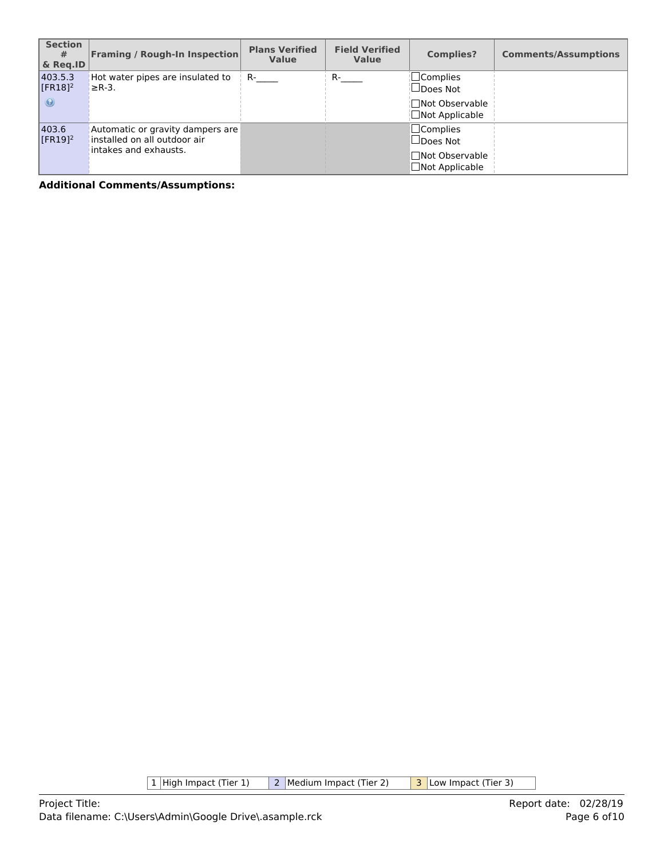| <b>Section</b><br>#<br>& Reg.ID             | <b>Framing / Rough-In Inspection</b>                                                      | <b>Plans Verified</b><br><b>Value</b> | <b>Field Verified</b><br><b>Value</b> | <b>Complies?</b>                                                               | <b>Comments/Assumptions</b> |
|---------------------------------------------|-------------------------------------------------------------------------------------------|---------------------------------------|---------------------------------------|--------------------------------------------------------------------------------|-----------------------------|
| 403.5.3<br>$[FR18]$ <sup>2</sup><br>$\odot$ | Hot water pipes are insulated to<br>$\geq$ R-3.                                           | $R-$                                  | $R_{\text{max}}$                      | ¦□Complies<br>$\Box$ Does Not<br>¦∏Not Observable<br>$\Box$ Not Applicable     |                             |
| 403.6<br>$[FR19]$ <sup>2</sup>              | Automatic or gravity dampers are<br>installed on all outdoor air<br>intakes and exhausts. |                                       |                                       | $\Box$ Complies<br>$\Box$ Does Not<br>□Not Observable<br>$\Box$ Not Applicable |                             |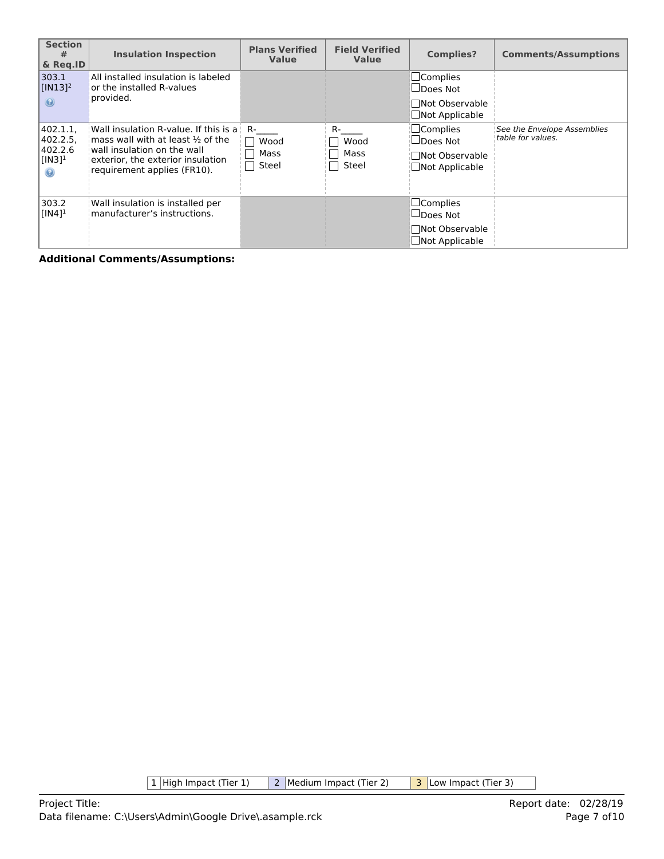| <b>Section</b><br>#<br>& Reg.ID                                      | <b>Insulation Inspection</b>                                                                                                                                                             | <b>Plans Verified</b><br><b>Value</b> | <b>Field Verified</b><br>Value | <b>Complies?</b>                                                                | <b>Comments/Assumptions</b>                      |
|----------------------------------------------------------------------|------------------------------------------------------------------------------------------------------------------------------------------------------------------------------------------|---------------------------------------|--------------------------------|---------------------------------------------------------------------------------|--------------------------------------------------|
| 303.1<br>$\sqrt{[IN13]^2}$<br>$\odot$                                | All installed insulation is labeled<br>or the installed R-values<br>provided.                                                                                                            |                                       |                                | $\Box$ Complies<br>$\Box$ Does Not<br><b>Not Observable</b><br>□Not Applicable  |                                                  |
| 402.1.1,<br>402.2.5<br>402.2.6<br>$[IN3]$ <sup>1</sup><br>$_{\odot}$ | Wall insulation R-value. If this is a<br>mass wall with at least $\frac{1}{2}$ of the<br>wall insulation on the wall<br>exterior, the exterior insulation<br>requirement applies (FR10). | R-<br>Wood<br>Mass<br>Steel           | R-<br>Wood<br>Mass<br>Steel    | $\Box$ Complies<br>$\Box$ Does Not<br><b>□Not Observable</b><br>□Not Applicable | See the Envelope Assemblies<br>table for values. |
| 303.2<br>$[IN4]$ <sup>1</sup>                                        | Wall insulation is installed per<br>manufacturer's instructions.                                                                                                                         |                                       |                                | $\Box$ Complies<br>$\Box$ Does Not<br><b>Not Observable</b><br>□Not Applicable  |                                                  |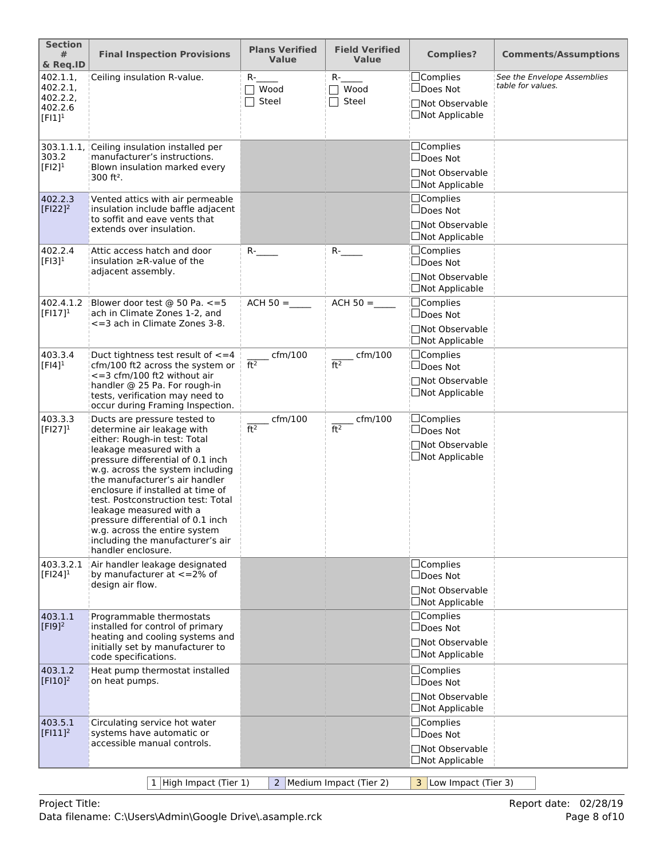| <b>Section</b><br>#<br>& Req.ID                          | <b>Final Inspection Provisions</b>                                                                                                                                                                                                                                                                                                                                                                                                                                     | <b>Plans Verified</b><br><b>Value</b> | <b>Field Verified</b><br><b>Value</b> | <b>Complies?</b>                                                                | <b>Comments/Assumptions</b>                      |
|----------------------------------------------------------|------------------------------------------------------------------------------------------------------------------------------------------------------------------------------------------------------------------------------------------------------------------------------------------------------------------------------------------------------------------------------------------------------------------------------------------------------------------------|---------------------------------------|---------------------------------------|---------------------------------------------------------------------------------|--------------------------------------------------|
| 402.1.1,<br>402.2.1<br>402.2.2,<br>402.2.6<br>$[FI]^{1}$ | Ceiling insulation R-value.                                                                                                                                                                                                                                                                                                                                                                                                                                            | $R-$<br>$\top$ Wood<br>Steel          | $R-$<br>$\sqcap$ Wood<br>Steel        | □Complies<br>□Does Not<br>□Not Observable<br>□Not Applicable                    | See the Envelope Assemblies<br>table for values. |
| 303.1.1.1<br>303.2<br>$[F12]$ <sup>1</sup>               | Ceiling insulation installed per<br>manufacturer's instructions.<br>Blown insulation marked every<br>$300$ ft <sup>2</sup> .                                                                                                                                                                                                                                                                                                                                           |                                       |                                       | $\Box$ Complies<br>$\Box$ Does Not<br>□Not Observable<br>$\Box$ Not Applicable  |                                                  |
| 402.2.3<br>$[F122]^{2}$                                  | Vented attics with air permeable<br>insulation include baffle adjacent<br>to soffit and eave vents that<br>extends over insulation.                                                                                                                                                                                                                                                                                                                                    |                                       |                                       | □Complies<br>$\Box$ Does Not<br>□Not Observable<br>$\Box$ Not Applicable        |                                                  |
| 402.2.4<br>$[F13]$ <sup>1</sup>                          | Attic access hatch and door<br>insulation $\geq$ R-value of the<br>adjacent assembly.                                                                                                                                                                                                                                                                                                                                                                                  | $R$ - $\qquad$                        | $R$ -                                 | $\Box$ Complies<br>$\Box$ Does Not<br>□Not Observable<br>□Not Applicable        |                                                  |
| 402.4.1.2<br>$[FI17]^{1}$                                | Blower door test @ 50 Pa. <= 5<br>ach in Climate Zones 1-2, and<br><= 3 ach in Climate Zones 3-8.                                                                                                                                                                                                                                                                                                                                                                      | $ACH 50 =$                            | $ACH 50 =$                            | $\Box$ Complies<br>□Does Not<br><b>Not Observable</b><br><b>□Not Applicable</b> |                                                  |
| 403.3.4<br>$[FI4]$ <sup>1</sup>                          | Duct tightness test result of $\leq$ = 4<br>cfm/100 ft2 across the system or<br>$\epsilon$ =3 cfm/100 ft2 without air<br>handler @ 25 Pa. For rough-in<br>tests, verification may need to<br>occur during Framing Inspection.                                                                                                                                                                                                                                          | $c$ fm/100<br>ft <sup>2</sup>         | $\_$ cfm/100<br>ft <sup>2</sup>       | <b>Complies</b><br>□Does Not<br>□Not Observable<br>$\Box$ Not Applicable        |                                                  |
| 403.3.3<br>$[FI27]^{1}$                                  | Ducts are pressure tested to<br>determine air leakage with<br>either: Rough-in test: Total<br>leakage measured with a<br>pressure differential of 0.1 inch<br>w.g. across the system including<br>the manufacturer's air handler<br>enclosure if installed at time of<br>test. Postconstruction test: Total<br>leakage measured with a<br>pressure differential of 0.1 inch<br>w.g. across the entire system<br>including the manufacturer's air<br>handler enclosure. | cfm/100<br>ft <sup>2</sup>            | cfm/100<br>ft <sup>2</sup>            | $\Box$ Complies<br>□Does Not<br><b>Not Observable</b><br>□Not Applicable        |                                                  |
| 403.3.2.1<br>$[FI24]$ <sup>1</sup>                       | Air handler leakage designated<br>by manufacturer at $\lt$ =2% of<br>design air flow.                                                                                                                                                                                                                                                                                                                                                                                  |                                       |                                       | □Complies<br>$\Box$ Does Not<br>□Not Observable<br>$\Box$ Not Applicable        |                                                  |
| 403.1.1<br>$[F19]^{2}$                                   | Programmable thermostats<br>installed for control of primary<br>heating and cooling systems and<br>initially set by manufacturer to<br>code specifications.                                                                                                                                                                                                                                                                                                            |                                       |                                       | □Complies<br>$\square$ Does Not<br>□Not Observable<br>$\Box$ Not Applicable     |                                                  |
| 403.1.2<br>$[$ FI10] <sup>2</sup>                        | Heat pump thermostat installed<br>on heat pumps.                                                                                                                                                                                                                                                                                                                                                                                                                       |                                       |                                       | $\Box$ Complies<br>$\Box$ Does Not<br>□Not Observable<br>$\Box$ Not Applicable  |                                                  |
| 403.5.1<br>$[F111]^2$                                    | Circulating service hot water<br>systems have automatic or<br>accessible manual controls.                                                                                                                                                                                                                                                                                                                                                                              |                                       |                                       | $\Box$ Complies<br>$\Box$ Does Not<br>□Not Observable<br>$\Box$ Not Applicable  |                                                  |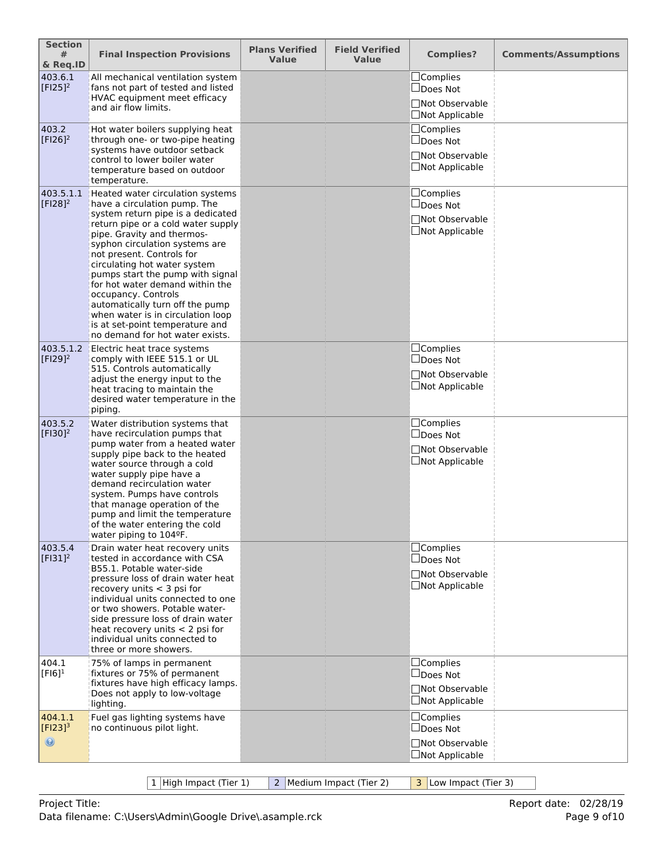| <b>Section</b><br>#<br>& Req.ID           | <b>Final Inspection Provisions</b>                                                                                                                                                                                                                                                                                                                                                                                                                                                                                   | <b>Plans Verified</b><br><b>Value</b> | <b>Field Verified</b><br><b>Value</b> | <b>Complies?</b>                                                               | <b>Comments/Assumptions</b> |
|-------------------------------------------|----------------------------------------------------------------------------------------------------------------------------------------------------------------------------------------------------------------------------------------------------------------------------------------------------------------------------------------------------------------------------------------------------------------------------------------------------------------------------------------------------------------------|---------------------------------------|---------------------------------------|--------------------------------------------------------------------------------|-----------------------------|
| 403.6.1<br>$[$ F125]^{2}                  | All mechanical ventilation system<br>fans not part of tested and listed<br>HVAC equipment meet efficacy<br>and air flow limits.                                                                                                                                                                                                                                                                                                                                                                                      |                                       |                                       | $\Box$ Complies<br>$\Box$ Does Not<br>□Not Observable<br>$\Box$ Not Applicable |                             |
| 403.2<br>$[F126]^{2}$                     | Hot water boilers supplying heat<br>through one- or two-pipe heating<br>systems have outdoor setback<br>control to lower boiler water<br>temperature based on outdoor<br>temperature.                                                                                                                                                                                                                                                                                                                                |                                       |                                       | $\Box$ Complies<br>$\Box$ Does Not<br>□Not Observable<br>□Not Applicable       |                             |
| 403.5.1.1<br>$[F128]^{2}$                 | Heated water circulation systems<br>have a circulation pump. The<br>system return pipe is a dedicated<br>return pipe or a cold water supply<br>pipe. Gravity and thermos-<br>syphon circulation systems are<br>not present. Controls for<br>circulating hot water system<br>pumps start the pump with signal<br>for hot water demand within the<br>occupancy. Controls<br>automatically turn off the pump<br>when water is in circulation loop<br>is at set-point temperature and<br>no demand for hot water exists. |                                       |                                       | □Complies<br>$\square$ Does Not<br>□Not Observable<br>$\Box$ Not Applicable    |                             |
| 403.5.1.2<br>$[F129]^{2}$                 | Electric heat trace systems<br>comply with IEEE 515.1 or UL<br>515. Controls automatically<br>adjust the energy input to the<br>heat tracing to maintain the<br>desired water temperature in the<br>piping.                                                                                                                                                                                                                                                                                                          |                                       |                                       | $\Box$ Complies<br>$\Box$ Does Not<br>□Not Observable<br>$\Box$ Not Applicable |                             |
| 403.5.2<br>$[F130]^{2}$                   | Water distribution systems that<br>have recirculation pumps that<br>pump water from a heated water<br>supply pipe back to the heated<br>water source through a cold<br>water supply pipe have a<br>demand recirculation water<br>system. Pumps have controls<br>that manage operation of the<br>pump and limit the temperature<br>of the water entering the cold<br>water piping to 104ºF.                                                                                                                           |                                       |                                       | $\Box$ Complies<br>$\Box$ Does Not<br>□Not Observable<br>$\Box$ Not Applicable |                             |
| 403.5.4<br>$[F131]^2$                     | Drain water heat recovery units<br>tested in accordance with CSA<br>B55.1. Potable water-side<br>pressure loss of drain water heat<br>recovery units $<$ 3 psi for<br>individual units connected to one<br>or two showers. Potable water-<br>side pressure loss of drain water<br>heat recovery units $<$ 2 psi for<br>individual units connected to<br>three or more showers.                                                                                                                                       |                                       |                                       | $\Box$ Complies<br>$\Box$ Does Not<br>□Not Observable<br>$\Box$ Not Applicable |                             |
| 404.1<br>$[F16]$ <sup>1</sup>             | 75% of lamps in permanent<br>fixtures or 75% of permanent<br>fixtures have high efficacy lamps.<br>Does not apply to low-voltage<br>lighting.                                                                                                                                                                                                                                                                                                                                                                        |                                       |                                       | $\Box$ Complies<br>$\Box$ Does Not<br>□Not Observable<br>□Not Applicable       |                             |
| 404.1.1<br>$[Fl23]^{3}$<br>$\circledcirc$ | Fuel gas lighting systems have<br>no continuous pilot light.                                                                                                                                                                                                                                                                                                                                                                                                                                                         |                                       |                                       | $\Box$ Complies<br>$\Box$ Does Not<br>□Not Observable<br>$\Box$ Not Applicable |                             |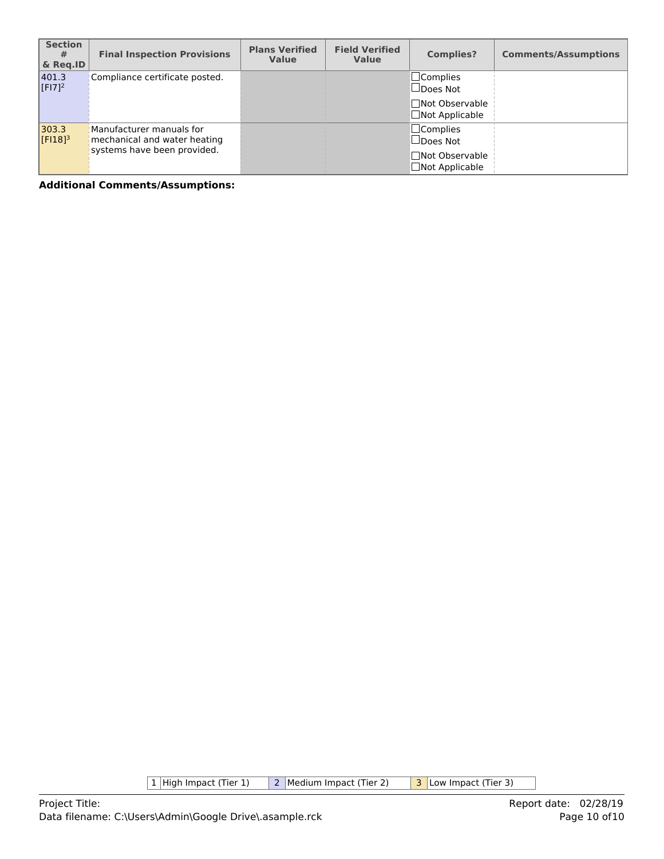| <b>Section</b><br>#<br>& Reg.ID | <b>Final Inspection Provisions</b>                                                      | <b>Plans Verified</b><br><b>Value</b> | <b>Field Verified</b><br><b>Value</b> | <b>Complies?</b>                                                                  | <b>Comments/Assumptions</b> |
|---------------------------------|-----------------------------------------------------------------------------------------|---------------------------------------|---------------------------------------|-----------------------------------------------------------------------------------|-----------------------------|
| 401.3<br>$[F17]^{2}$            | Compliance certificate posted.                                                          |                                       |                                       | $\square$ Complies<br>$\Box$ Does Not<br>□Not Observable<br>$\Box$ Not Applicable |                             |
| 303.3<br>$[F18]$ <sup>3</sup>   | Manufacturer manuals for<br>mechanical and water heating<br>systems have been provided. |                                       |                                       | $\Box$ Complies<br>$\Box$ Does Not<br>□Not Observable<br>$\Box$ Not Applicable    |                             |